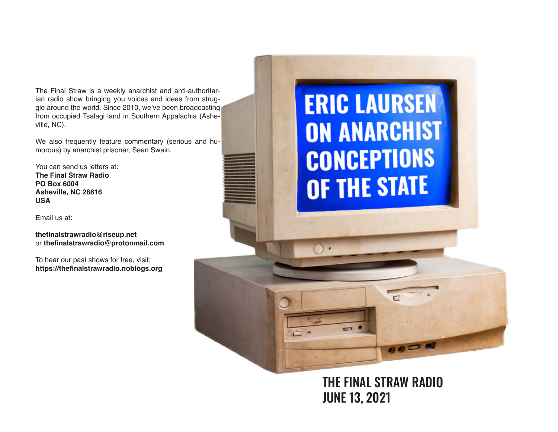The Final Straw is a weekly anarchist and anti-authoritarian radio show bringing you voices and ideas from struggle around the world. Since 2010, we've been broadcasting from occupied Tsalagi land in Southern Appalachia (Asheville, NC).

We also frequently feature commentary (serious and humorous) by anarchist prisoner, Sean Swain.

You can send us letters at: **The Final Straw Radio PO Box 6004 Asheville, NC 28816 USA**

Email us at:

**thefnalstrawradio@riseup.net** or **thefnalstrawradio@protonmail.com**

To hear our past shows for free, visit: **https://thefnalstrawradio.noblogs.org**

## **ERIC LAURSEN ON ANARCHIST CONCEPTIONS** OF THE STATE

THE FINAL STRAW RADIO JUNE 13, 2021

 $000$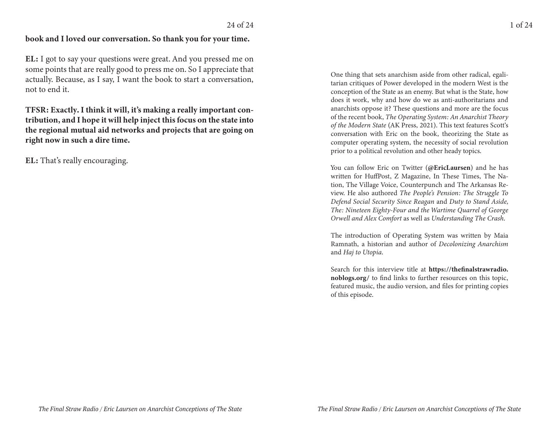## book and I loved our conversation. So thank you for your time.

**EL**: I got to say your questions were great. And you pressed me on some points that are really good to press me on. So I appreciate that actually. Because, as I say, I want the book to start a conversation, not to end it.

TFSR: Exactly. I think it will, it's making a really important contribution, and I hope it will help inject this focus on the state into the regional mutual aid networks and projects that are going on right now in such a dire time.

EL: That's really encouraging.

One thing that sets anarchism aside from other radical, egalitarian critiques of Power developed in the modern West is the conception of the State as an enemy. But what is the State, how does it work, why and how do we as anti-authoritarians and anarchists oppose it? These questions and more are the focus of the recent book, The Operating System: An Anarchist Theory of the Modern State (AK Press, 2021). This text features Scott's conversation with Eric on the book, theorizing the State as computer operating system, the necessity of social revolution prior to a political revolution and other heady topics.

You can follow Eric on Twitter (@EricLaursen) and he has written for HuffPost, Z Magazine, In These Times, The Nation, The Village Voice, Counterpunch and The Arkansas Review. He also authored The People's Pension: The Struggle To Defend Social Security Since Reagan and Duty to Stand Aside, The: Nineteen Eighty-Four and the Wartime Quarrel of George Orwell and Alex Comfort as well as Understanding The Crash.

The introduction of Operating System was written by Maia Ramnath, a historian and author of Decolonizing Anarchism and Haj to Utopia.

Search for this interview title at https://thefinalstrawradio. noblogs.org/ to find links to further resources on this topic, featured music, the audio version, and files for printing copies of this episode.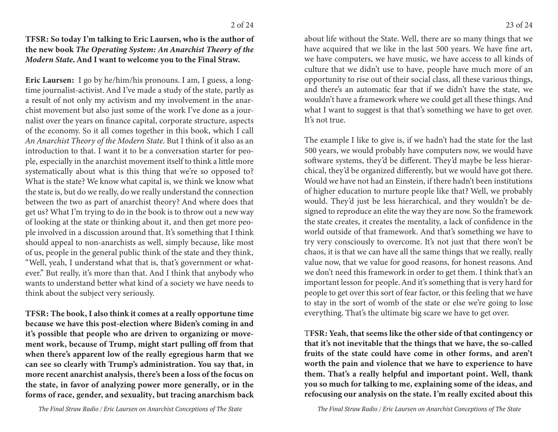TFSR: So today I'm talking to Eric Laursen, who is the author of the new book The Operating System: An Anarchist Theory of the Modern State. And I want to welcome you to the Final Straw.

Eric Laursen: I go by he/him/his pronouns. I am, I guess, a longtime journalist-activist. And I've made a study of the state, partly as a result of not only my activism and my involvement in the anarchist movement but also just some of the work I've done as a journalist over the years on finance capital, corporate structure, aspects of the economy. So it all comes together in this book, which I call An Anarchist Theory of the Modern State. But I think of it also as an introduction to that. I want it to be a conversation starter for people, especially in the anarchist movement itself to think a little more systematically about what is this thing that we're so opposed to? What is the state? We know what capital is, we think we know what the state is, but do we really, do we really understand the connection between the two as part of anarchist theory? And where does that get us? What I'm trying to do in the book is to throw out a new way of looking at the state or thinking about it, and then get more people involved in a discussion around that. It's something that I think should appeal to non-anarchists as well, simply because, like most of us, people in the general public think of the state and they think, "Well, yeah, I understand what that is, that's government or whatever." But really, it's more than that. And I think that anybody who wants to understand better what kind of a society we have needs to think about the subject very seriously.

TFSR: The book, I also think it comes at a really opportune time because we have this post-election where Biden's coming in and it's possible that people who are driven to organizing or movement work, because of Trump, might start pulling off from that when there's apparent low of the really egregious harm that we can see so clearly with Trump's administration. You say that, in more recent anarchist analysis, there's been a loss of the focus on the state, in favor of analyzing power more generally, or in the forms of race, gender, and sexuality, but tracing anarchism back

about life without the State. Well, there are so many things that we have acquired that we like in the last 500 years. We have fine art, we have computers, we have music, we have access to all kinds of culture that we didn't use to have, people have much more of an opportunity to rise out of their social class, all these various things, and there's an automatic fear that if we didn't have the state, we wouldn't have a framework where we could get all these things. And what I want to suggest is that that's something we have to get over. It's not true.

The example I like to give is, if we hadn't had the state for the last 500 years, we would probably have computers now, we would have software systems, they'd be different. They'd maybe be less hierarchical, they'd be organized differently, but we would have got there. Would we have not had an Einstein, if there hadn't been institutions of higher education to nurture people like that? Well, we probably would. They'd just be less hierarchical, and they wouldn't be designed to reproduce an elite the way they are now. So the framework the state creates, it creates the mentality, a lack of confidence in the world outside of that framework. And that's something we have to try very consciously to overcome. It's not just that there won't be chaos, it is that we can have all the same things that we really, really value now, that we value for good reasons, for honest reasons. And we don't need this framework in order to get them. I think that's an important lesson for people. And it's something that is very hard for people to get over this sort of fear factor, or this feeling that we have to stay in the sort of womb of the state or else we're going to lose everything. That's the ultimate big scare we have to get over.

TFSR: Yeah, that seems like the other side of that contingency or that it's not inevitable that the things that we have, the so-called fruits of the state could have come in other forms, and aren't worth the pain and violence that we have to experience to have them. That's a really helpful and important point. Well, thank you so much for talking to me, explaining some of the ideas, and refocusing our analysis on the state. I'm really excited about this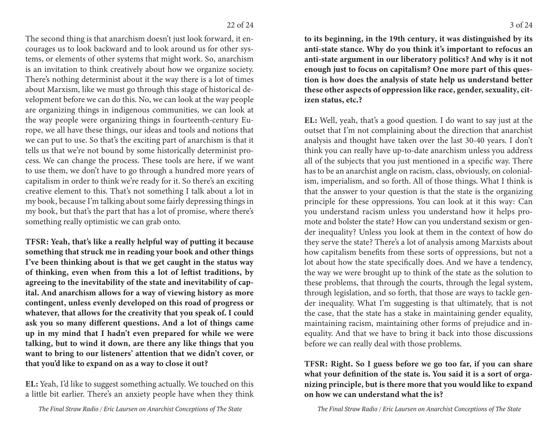The second thing is that anarchism doesn't just look forward, it encourages us to look backward and to look around us for other systems, or elements of other systems that might work. So, anarchism is an invitation to think creatively about how we organize society. There's nothing determinist about it the way there is a lot of times about Marxism, like we must go through this stage of historical development before we can do this. No, we can look at the way people are organizing things in indigenous communities, we can look at the way people were organizing things in fourteenth-century Europe, we all have these things, our ideas and tools and notions that we can put to use. So that's the exciting part of anarchism is that it tells us that we're not bound by some historically determinist process. We can change the process. These tools are here, if we want to use them, we don't have to go through a hundred more years of capitalism in order to think we're ready for it. So there's an exciting creative element to this. That's not something I talk about a lot in my book, because I'm talking about some fairly depressing things in my book, but that's the part that has a lot of promise, where there's something really optimistic we can grab onto.

TFSR: Yeah, that's like a really helpful way of putting it because something that struck me in reading your book and other things I've been thinking about is that we get caught in the status way of thinking, even when from this a lot of leftist traditions, by agreeing to the inevitability of the state and inevitability of capital. And anarchism allows for a way of viewing history as more contingent, unless evenly developed on this road of progress or whatever, that allows for the creativity that you speak of. I could ask you so many different questions. And a lot of things came up in my mind that I hadn't even prepared for while we were talking, but to wind it down, are there any like things that you want to bring to our listeners' attention that we didn't cover, or that you'd like to expand on as a way to close it out?

EL: Yeah, I'd like to suggest something actually. We touched on this a little bit earlier. There's an anxiety people have when they think to its beginning, in the 19th century, it was distinguished by its anti-state stance. Why do you think it's important to refocus an anti-state argument in our liberatory politics? And why is it not enough just to focus on capitalism? One more part of this question is how does the analysis of state help us understand better these other aspects of oppression like race, gender, sexuality, citizen status, etc.?

EL: Well, yeah, that's a good question. I do want to say just at the outset that I'm not complaining about the direction that anarchist analysis and thought have taken over the last 30-40 years. I don't think you can really have up-to-date anarchism unless you address all of the subjects that you just mentioned in a specific way. There has to be an anarchist angle on racism, class, obviously, on colonialism, imperialism, and so forth. All of those things. What I think is that the answer to your question is that the state is the organizing principle for these oppressions. You can look at it this way: Can you understand racism unless you understand how it helps promote and bolster the state? How can you understand sexism or gender inequality? Unless you look at them in the context of how do they serve the state? There's a lot of analysis among Marxists about how capitalism benefits from these sorts of oppressions, but not a lot about how the state specifically does. And we have a tendency, the way we were brought up to think of the state as the solution to these problems, that through the courts, through the legal system, through legislation, and so forth, that those are ways to tackle gender inequality. What I'm suggesting is that ultimately, that is not the case, that the state has a stake in maintaining gender equality, maintaining racism, maintaining other forms of prejudice and inequality. And that we have to bring it back into those discussions before we can really deal with those problems.

TFSR: Right. So I guess before we go too far, if you can share what your definition of the state is. You said it is a sort of organizing principle, but is there more that you would like to expand on how we can understand what the is?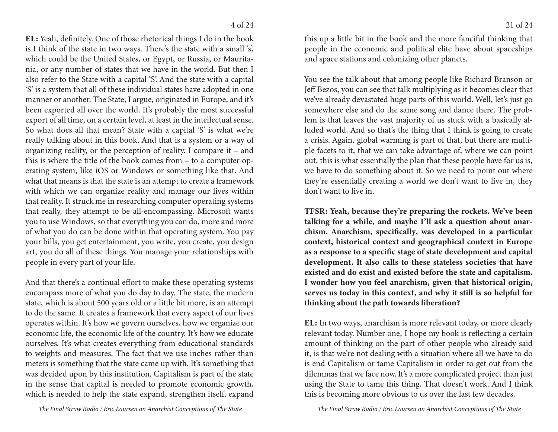EL: Yeah, definitely. One of those rhetorical things I do in the book is I think of the state in two ways. There's the state with a small 's', which could be the United States, or Egypt, or Russia, or Mauritania, or any number of states that we have in the world. But then I also refer to the State with a capital 'S'. And the state with a capital 'S' is a system that all of these individual states have adopted in one manner or another. The State, I argue, originated in Europe, and it's been exported all over the world. It's probably the most successful export of all time, on a certain level, at least in the intellectual sense. So what does all that mean? State with a capital 'S' is what we're really talking about in this book. And that is a system or a way of organizing reality, or the perception of reality. I compare it - and this is where the title of the book comes from – to a computer operating system, like iOS or Windows or something like that. And what that means is that the state is an attempt to create a framework with which we can organize reality and manage our lives within that reality. It struck me in researching computer operating systems that really, they attempt to be all-encompassing. Microsoft wants you to use Windows, so that everything you can do, more and more of what you do can be done within that operating system. You pay your bills, you get entertainment, you write, you create, you design art, you do all of these things. You manage your relationships with people in every part of your life.

And that there's a continual effort to make these operating systems encompass more of what you do day to day. The state, the modern state, which is about 500 years old or a little bit more, is an attempt to do the same. It creates a framework that every aspect of our lives operates within. It's how we govern ourselves, how we organize our economic life, the economic life of the country. It's how we educate ourselves. It's what creates everything from educational standards to weights and measures. The fact that we use inches rather than meters is something that the state came up with. It's something that was decided upon by this institution. Capitalism is part of the state in the sense that capital is needed to promote economic growth, which is needed to help the state expand, strengthen itself, expand

this up a little bit in the book and the more fanciful thinking that people in the economic and political elite have about spaceships and space stations and colonizing other planets.

You see the talk about that among people like Richard Branson or Jeff Bezos, you can see that talk multiplying as it becomes clear that we've already devastated huge parts of this world. Well, let's just go somewhere else and do the same song and dance there. The problem is that leaves the vast majority of us stuck with a basically alluded world. And so that's the thing that I think is going to create a crisis. Again, global warming is part of that, but there are multiple facets to it, that we can take advantage of, where we can point out, this is what essentially the plan that these people have for us is, we have to do something about it. So we need to point out where they're essentially creating a world we don't want to live in, they don't want to live in.

TFSR: Yeah, because they're preparing the rockets. We've been talking for a while, and maybe I'll ask a question about anarchism. Anarchism, specifically, was developed in a particular context, historical context and geographical context in Europe as a response to a specific stage of state development and capital development. It also calls to these stateless societies that have existed and do exist and existed before the state and capitalism. I wonder how you feel anarchism, given that historical origin, serves us today in this context, and why it still is so helpful for thinking about the path towards liberation?

EL: In two ways, anarchism is more relevant today, or more clearly relevant today. Number one, I hope my book is reflecting a certain amount of thinking on the part of other people who already said it, is that we're not dealing with a situation where all we have to do is end Capitalism or tame Capitalism in order to get out from the dilemmas that we face now. It's a more complicated project than just using the State to tame this thing. That doesn't work. And I think this is becoming more obvious to us over the last few decades.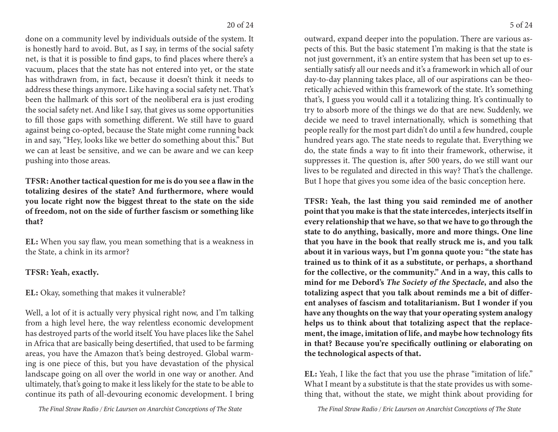done on a community level by individuals outside of the system. It is honestly hard to avoid. But, as I say, in terms of the social safety net, is that it is possible to find gaps, to find places where there's a vacuum, places that the state has not entered into yet, or the state has withdrawn from, in fact, because it doesn't think it needs to address these things anymore. Like having a social safety net. That's been the hallmark of this sort of the neoliberal era is just eroding the social safety net. And like I say, that gives us some opportunities to fill those gaps with something different. We still have to guard against being co-opted, because the State might come running back in and say, "Hey, looks like we better do something about this." But we can at least be sensitive, and we can be aware and we can keep pushing into those areas.

TFSR: Another tactical question for me is do you see a flaw in the totalizing desires of the state? And furthermore, where would you locate right now the biggest threat to the state on the side of freedom, not on the side of further fascism or something like that?

EL: When you say flaw, you mean something that is a weakness in the State, a chink in its armor?

## TFSR: Yeah, exactly.

EL: Okay, something that makes it vulnerable?

Well, a lot of it is actually very physical right now, and I'm talking from a high level here, the way relentless economic development has destroyed parts of the world itself. You have places like the Sahel in Africa that are basically being desertified, that used to be farming areas, you have the Amazon that's being destroyed. Global warming is one piece of this, but you have devastation of the physical landscape going on all over the world in one way or another. And ultimately, that's going to make it less likely for the state to be able to continue its path of all-devouring economic development. I bring

outward, expand deeper into the population. There are various aspects of this. But the basic statement I'm making is that the state is not just government, it's an entire system that has been set up to essentially satisfy all our needs and it's a framework in which all of our day-to-day planning takes place, all of our aspirations can be theoretically achieved within this framework of the state. It's something that's, I guess you would call it a totalizing thing. It's continually to try to absorb more of the things we do that are new. Suddenly, we decide we need to travel internationally, which is something that people really for the most part didn't do until a few hundred, couple hundred years ago. The state needs to regulate that. Everything we do, the state finds a way to fit into their framework, otherwise, it suppresses it. The question is, after 500 years, do we still want our lives to be regulated and directed in this way? That's the challenge. But I hope that gives you some idea of the basic conception here.

TFSR: Yeah, the last thing you said reminded me of another point that you make is that the state intercedes, interjects itself in every relationship that we have, so that we have to go through the state to do anything, basically, more and more things. One line that you have in the book that really struck me is, and you talk about it in various ways, but I'm gonna quote you: "the state has trained us to think of it as a substitute, or perhaps, a shorthand for the collective, or the community." And in a way, this calls to mind for me Debord's The Society of the Spectacle, and also the totalizing aspect that you talk about reminds me a bit of different analyses of fascism and totalitarianism. But I wonder if you have any thoughts on the way that your operating system analogy helps us to think about that totalizing aspect that the replacement, the image, imitation of life, and maybe how technology fits in that? Because you're specifically outlining or elaborating on the technological aspects of that.

EL: Yeah, I like the fact that you use the phrase "imitation of life." What I meant by a substitute is that the state provides us with something that, without the state, we might think about providing for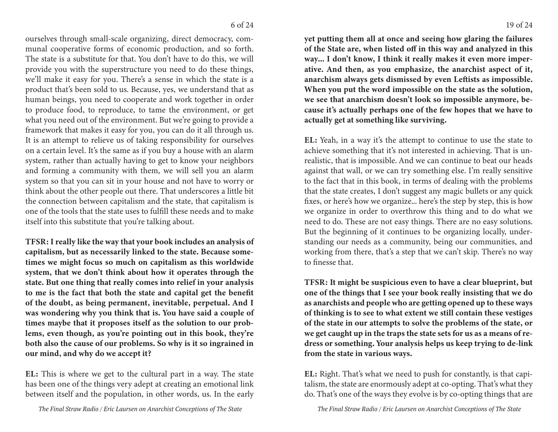ourselves through small-scale organizing, direct democracy, communal cooperative forms of economic production, and so forth. The state is a substitute for that. You don't have to do this, we will provide you with the superstructure you need to do these things, we'll make it easy for you. There's a sense in which the state is a product that's been sold to us. Because, yes, we understand that as human beings, you need to cooperate and work together in order to produce food, to reproduce, to tame the environment, or get what you need out of the environment. But we're going to provide a framework that makes it easy for you, you can do it all through us. It is an attempt to relieve us of taking responsibility for ourselves on a certain level. It's the same as if you buy a house with an alarm system, rather than actually having to get to know your neighbors and forming a community with them, we will sell you an alarm system so that you can sit in your house and not have to worry or think about the other people out there. That underscores a little bit the connection between capitalism and the state, that capitalism is one of the tools that the state uses to fulfill these needs and to make itself into this substitute that you're talking about.

TFSR: I really like the way that your book includes an analysis of capitalism, but as necessarily linked to the state. Because sometimes we might focus so much on capitalism as this worldwide system, that we don't think about how it operates through the state. But one thing that really comes into relief in your analysis to me is the fact that both the state and capital get the benefit of the doubt, as being permanent, inevitable, perpetual. And I was wondering why you think that is. You have said a couple of times maybe that it proposes itself as the solution to our problems, even though, as you're pointing out in this book, they're both also the cause of our problems. So why is it so ingrained in our mind, and why do we accept it?

EL: This is where we get to the cultural part in a way. The state has been one of the things very adept at creating an emotional link between itself and the population, in other words, us. In the early yet putting them all at once and seeing how glaring the failures of the State are, when listed off in this way and analyzed in this way... I don't know, I think it really makes it even more imperative. And then, as you emphasize, the anarchist aspect of it, anarchism always gets dismissed by even Leftists as impossible. When you put the word impossible on the state as the solution, we see that anarchism doesn't look so impossible anymore, because it's actually perhaps one of the few hopes that we have to actually get at something like surviving.

EL: Yeah, in a way it's the attempt to continue to use the state to achieve something that it's not interested in achieving. That is unrealistic, that is impossible. And we can continue to beat our heads against that wall, or we can try something else. I'm really sensitive to the fact that in this book, in terms of dealing with the problems that the state creates, I don't suggest any magic bullets or any quick fixes, or here's how we organize... here's the step by step, this is how we organize in order to overthrow this thing and to do what we need to do. These are not easy things. There are no easy solutions. But the beginning of it continues to be organizing locally, understanding our needs as a community, being our communities, and working from there, that's a step that we can't skip. There's no way to finesse that.

TFSR: It might be suspicious even to have a clear blueprint, but one of the things that I see your book really insisting that we do as anarchists and people who are getting opened up to these ways of thinking is to see to what extent we still contain these vestiges of the state in our attempts to solve the problems of the state, or we get caught up in the traps the state sets for us as a means of redress or something. Your analysis helps us keep trying to de-link from the state in various ways.

EL: Right. That's what we need to push for constantly, is that capitalism, the state are enormously adept at co-opting. That's what they do. That's one of the ways they evolve is by co-opting things that are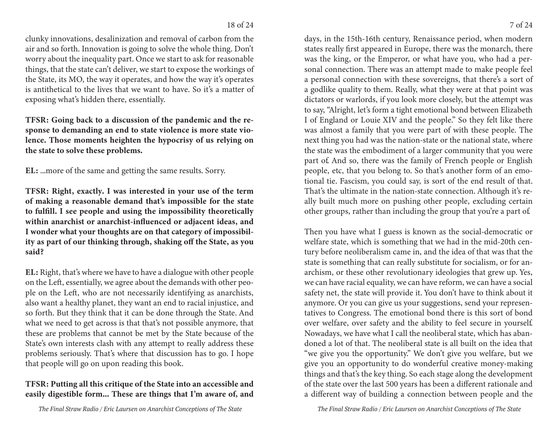clunky innovations, desalinization and removal of carbon from the air and so forth. Innovation is going to solve the whole thing. Don't worry about the inequality part. Once we start to ask for reasonable things, that the state can't deliver, we start to expose the workings of the State, its MO, the way it operates, and how the way it's operates is antithetical to the lives that we want to have. So it's a matter of exposing what's hidden there, essentially.

TFSR: Going back to a discussion of the pandemic and the response to demanding an end to state violence is more state violence. Those moments heighten the hypocrisy of us relying on the state to solve these problems.

EL: ...more of the same and getting the same results. Sorry.

TFSR: Right, exactly. I was interested in your use of the term of making a reasonable demand that's impossible for the state to fulfill. I see people and using the impossibility theoretically within anarchist or anarchist-influenced or adjacent ideas, and I wonder what your thoughts are on that category of impossibility as part of our thinking through, shaking off the State, as you said?

EL: Right, that's where we have to have a dialogue with other people on the Left, essentially, we agree about the demands with other people on the Left, who are not necessarily identifying as anarchists, also want a healthy planet, they want an end to racial injustice, and so forth. But they think that it can be done through the State. And what we need to get across is that that's not possible anymore, that these are problems that cannot be met by the State because of the State's own interests clash with any attempt to really address these problems seriously. That's where that discussion has to go. I hope that people will go on upon reading this book.

## TFSR: Putting all this critique of the State into an accessible and easily digestible form... These are things that I'm aware of, and

days, in the 15th-16th century, Renaissance period, when modern states really first appeared in Europe, there was the monarch, there was the king, or the Emperor, or what have you, who had a personal connection. There was an attempt made to make people feel a personal connection with these sovereigns, that there's a sort of a godlike quality to them. Really, what they were at that point was dictators or warlords, if you look more closely, but the attempt was to say, "Alright, let's form a tight emotional bond between Elizabeth I of England or Louie XIV and the people." So they felt like there was almost a family that you were part of with these people. The next thing you had was the nation-state or the national state, where the state was the embodiment of a larger community that you were part of And so, there was the family of French people or English people, etc, that you belong to. So that's another form of an emotional tie. Fascism, you could say, is sort of the end result of that. That's the ultimate in the nation-state connection. Although it's really built much more on pushing other people, excluding certain other groups, rather than including the group that you're a part of.

Then you have what I guess is known as the social-democratic or welfare state, which is something that we had in the mid-20th century before neoliberalism came in, and the idea of that was that the state is something that can really substitute for socialism, or for anarchism, or these other revolutionary ideologies that grew up. Yes, we can have racial equality, we can have reform, we can have a social safety net, the state will provide it. You don't have to think about it anymore. Or you can give us your suggestions, send your representatives to Congress. The emotional bond there is this sort of bond over welfare, over safety and the ability to feel secure in yourself. Nowadays, we have what I call the neoliberal state, which has abandoned a lot of that. The neoliberal state is all built on the idea that "we give you the opportunity." We don't give you welfare, but we give you an opportunity to do wonderful creative money-making things and that's the key thing. So each stage along the development of the state over the last 500 years has been a different rationale and a different way of building a connection between people and the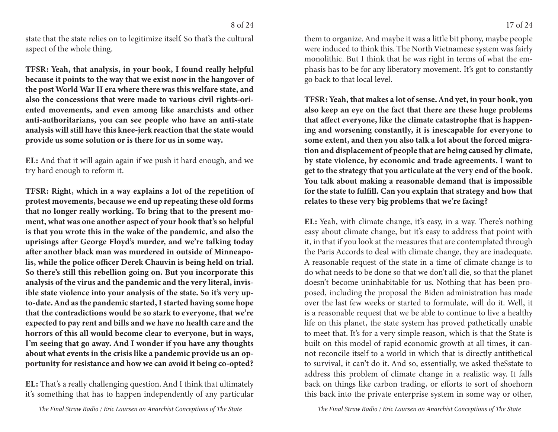state that the state relies on to legitimize itself. So that's the cultural aspect of the whole thing.

TFSR: Yeah, that analysis, in your book, I found really helpful because it points to the way that we exist now in the hangover of the post World War II era where there was this welfare state, and also the concessions that were made to various civil rights-oriented movements, and even among like anarchists and other anti-authoritarians, you can see people who have an anti-state analysis will still have this knee-jerk reaction that the state would provide us some solution or is there for us in some way.

EL: And that it will again again if we push it hard enough, and we try hard enough to reform it.

TFSR: Right, which in a way explains a lot of the repetition of protest movements, because we end up repeating these old forms that no longer really working. To bring that to the present moment, what was one another aspect of your book that's so helpful is that you wrote this in the wake of the pandemic, and also the uprisings after George Floyd's murder, and we're talking today after another black man was murdered in outside of Minneapolis, while the police officer Derek Chauvin is being held on trial. So there's still this rebellion going on. But you incorporate this analysis of the virus and the pandemic and the very literal, invisible state violence into your analysis of the state. So it's very upto-date. And as the pandemic started, I started having some hope that the contradictions would be so stark to everyone, that we're expected to pay rent and bills and we have no health care and the horrors of this all would become clear to everyone, but in ways, I'm seeing that go away. And I wonder if you have any thoughts about what events in the crisis like a pandemic provide us an opportunity for resistance and how we can avoid it being co-opted?

EL: That's a really challenging question. And I think that ultimately it's something that has to happen independently of any particular were induced to think this. The North Vietnamese system was fairly monolithic. But I think that he was right in terms of what the emphasis has to be for any liberatory movement. It's got to constantly go back to that local level.

TFSR: Yeah, that makes a lot of sense. And yet, in your book, you also keep an eye on the fact that there are these huge problems that affect everyone, like the climate catastrophe that is happening and worsening constantly, it is inescapable for everyone to some extent, and then you also talk a lot about the forced migration and displacement of people that are being caused by climate, by state violence, by economic and trade agreements. I want to get to the strategy that you articulate at the very end of the book. You talk about making a reasonable demand that is impossible for the state to fulfill. Can you explain that strategy and how that relates to these very big problems that we're facing?

EL: Yeah, with climate change, it's easy, in a way. There's nothing easy about climate change, but it's easy to address that point with it, in that if you look at the measures that are contemplated through the Paris Accords to deal with climate change, they are inadequate. A reasonable request of the state in a time of climate change is to do what needs to be done so that we don't all die, so that the planet doesn't become uninhabitable for us. Nothing that has been proposed, including the proposal the Biden administration has made over the last few weeks or started to formulate, will do it. Well, it is a reasonable request that we be able to continue to live a healthy life on this planet, the state system has proved pathetically unable to meet that. It's for a very simple reason, which is that the State is built on this model of rapid economic growth at all times, it cannot reconcile itself to a world in which that is directly antithetical to survival, it can't do it. And so, essentially, we asked the Sstate to address this problem of climate change in a realistic way. It falls back on things like carbon trading, or efforts to sort of shoehorn this back into the private enterprise system in some way or other,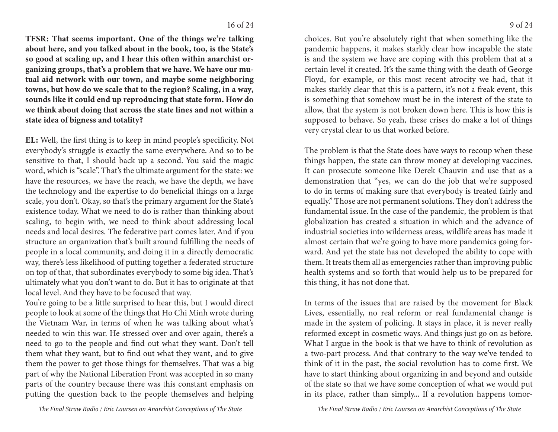TFSR: That seems important. One of the things we're talking about here, and you talked about in the book, too, is the State's so good at scaling up, and I hear this often within anarchist organizing groups, that's a problem that we have. We have our mutual aid network with our town, and maybe some neighboring towns, but how do we scale that to the region? Scaling, in a way, sounds like it could end up reproducing that state form. How do we think about doing that across the state lines and not within a state idea of bigness and totality?

EL: Well, the first thing is to keep in mind people's specificity. Not everybody's struggle is exactly the same everywhere. And so to be sensitive to that, I should back up a second. You said the magic word, which is "scale". That's the ultimate argument for the state: we have the resources, we have the reach, we have the depth, we have the technology and the expertise to do beneficial things on a large scale, you don't. Okay, so that's the primary argument for the State's existence today. What we need to do is rather than thinking about scaling, to begin with, we need to think about addressing local needs and local desires. The federative part comes later. And if you structure an organization that's built around fulfilling the needs of people in a local community, and doing it in a directly democratic way, there's less likelihood of putting together a federated structure on top of that, that subordinates everybody to some big idea. That's ultimately what you don't want to do. But it has to originate at that local level. And they have to be focused that way.

You're going to be a little surprised to hear this, but I would direct people to look at some of the things that Ho Chi Minh wrote during the Vietnam War, in terms of when he was talking about what's needed to win this war. He stressed over and over again, there's a need to go to the people and find out what they want. Don't tell them what they want, but to find out what they want, and to give them the power to get those things for themselves. That was a big part of why the National Liberation Front was accepted in so many parts of the country because there was this constant emphasis on putting the question back to the people themselves and helping

choices. But you're absolutely right that when something like the pandemic happens, it makes starkly clear how incapable the state is and the system we have are coping with this problem that at a certain level it created. It's the same thing with the death of George Floyd, for example, or this most recent atrocity we had, that it makes starkly clear that this is a pattern, it's not a freak event, this is something that somehow must be in the interest of the state to allow, that the system is not broken down here. This is how this is supposed to behave. So yeah, these crises do make a lot of things very crystal clear to us that worked before.

The problem is that the State does have ways to recoup when these things happen, the state can throw money at developing vaccines. It can prosecute someone like Derek Chauvin and use that as a demonstration that "yes, we can do the job that we're supposed to do in terms of making sure that everybody is treated fairly and equally." Those are not permanent solutions. They don't address the fundamental issue. In the case of the pandemic, the problem is that globalization has created a situation in which and the advance of industrial societies into wilderness areas, wildlife areas has made it almost certain that we're going to have more pandemics going forward. And yet the state has not developed the ability to cope with them. It treats them all as emergencies rather than improving public health systems and so forth that would help us to be prepared for this thing, it has not done that.

In terms of the issues that are raised by the movement for Black Lives, essentially, no real reform or real fundamental change is made in the system of policing. It stays in place, it is never really reformed except in cosmetic ways. And things just go on as before. What I argue in the book is that we have to think of revolution as a two-part process. And that contrary to the way we've tended to think of it in the past, the social revolution has to come first. We have to start thinking about organizing in and beyond and outside of the state so that we have some conception of what we would put in its place, rather than simply... If a revolution happens tomor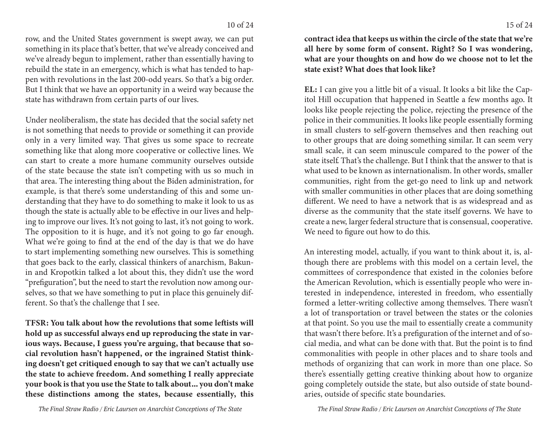row, and the United States government is swept away, we can put something in its place that's better, that we've already conceived and we've already begun to implement, rather than essentially having to rebuild the state in an emergency, which is what has tended to happen with revolutions in the last 200-odd years. So that's a big order. But I think that we have an opportunity in a weird way because the state has withdrawn from certain parts of our lives.

Under neoliberalism, the state has decided that the social safety net is not something that needs to provide or something it can provide only in a very limited way. That gives us some space to recreate something like that along more cooperative or collective lines. We can start to create a more humane community ourselves outside of the state because the state isn't competing with us so much in that area. The interesting thing about the Biden administration, for example, is that there's some understanding of this and some understanding that they have to do something to make it look to us as though the state is actually able to be effective in our lives and helping to improve our lives. It's not going to last, it's not going to work. The opposition to it is huge, and it's not going to go far enough. What we're going to find at the end of the day is that we do have to start implementing something new ourselves. This is something that goes back to the early, classical thinkers of anarchism, Bakunin and Kropotkin talked a lot about this, they didn't use the word "prefiguration", but the need to start the revolution now among ourselves, so that we have something to put in place this genuinely different. So that's the challenge that I see.

TFSR: You talk about how the revolutions that some leftists will hold up as successful always end up reproducing the state in various ways. Because, I guess you're arguing, that because that social revolution hasn't happened, or the ingrained Statist thinking doesn't get critiqued enough to say that we can't actually use the state to achieve freedom. And something I really appreciate your book is that you use the State to talk about... you don't make these distinctions among the states, because essentially, this

contract idea that keeps us within the circle of the state that we're all here by some form of consent. Right? So I was wondering, what are your thoughts on and how do we choose not to let the

EL: I can give you a little bit of a visual. It looks a bit like the Capitol Hill occupation that happened in Seattle a few months ago. It looks like people rejecting the police, rejecting the presence of the police in their communities. It looks like people essentially forming in small clusters to self-govern themselves and then reaching out to other groups that are doing something similar. It can seem very small scale, it can seem minuscule compared to the power of the state itself. That's the challenge. But I think that the answer to that is what used to be known as internationalism. In other words, smaller communities, right from the get-go need to link up and network with smaller communities in other places that are doing something different. We need to have a network that is as widespread and as diverse as the community that the state itself governs. We have to create a new, larger federal structure that is consensual, cooperative. We need to figure out how to do this.

state exist? What does that look like?

An interesting model, actually, if you want to think about it, is, although there are problems with this model on a certain level, the committees of correspondence that existed in the colonies before the American Revolution, which is essentially people who were interested in independence, interested in freedom, who essentially formed a letter-writing collective among themselves. There wasn't a lot of transportation or travel between the states or the colonies at that point. So you use the mail to essentially create a community that wasn't there before. It's a prefiguration of the internet and of social media, and what can be done with that. But the point is to find commonalities with people in other places and to share tools and methods of organizing that can work in more than one place. So there's essentially getting creative thinking about how to organize going completely outside the state, but also outside of state boundaries, outside of specific state boundaries.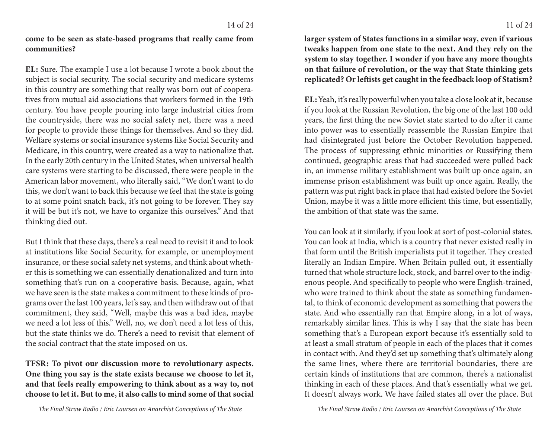come to be seen as state-based programs that really came from communities?

EL: Sure. The example I use a lot because I wrote a book about the subject is social security. The social security and medicare systems in this country are something that really was born out of cooperatives from mutual aid associations that workers formed in the 19th century. You have people pouring into large industrial cities from the countryside, there was no social safety net, there was a need for people to provide these things for themselves. And so they did. Welfare systems or social insurance systems like Social Security and Medicare, in this country, were created as a way to nationalize that. In the early 20th century in the United States, when universal health care systems were starting to be discussed, there were people in the American labor movement, who literally said, "We don't want to do this, we don't want to back this because we feel that the state is going to at some point snatch back, it's not going to be forever. They say it will be but it's not, we have to organize this ourselves." And that thinking died out.

But I think that these days, there's a real need to revisit it and to look at institutions like Social Security, for example, or unemployment insurance, or these social safety net systems, and think about whether this is something we can essentially denationalized and turn into something that's run on a cooperative basis. Because, again, what we have seen is the state makes a commitment to these kinds of programs over the last 100 years, let's say, and then withdraw out of that commitment, they said, "Well, maybe this was a bad idea, maybe we need a lot less of this." Well, no, we don't need a lot less of this, but the state thinks we do. There's a need to revisit that element of the social contract that the state imposed on us.

TFSR: To pivot our discussion more to revolutionary aspects. One thing you say is the state exists because we choose to let it, and that feels really empowering to think about as a way to, not choose to let it. But to me, it also calls to mind some of that social

larger system of States functions in a similar way, even if various tweaks happen from one state to the next. And they rely on the system to stay together. I wonder if you have any more thoughts on that failure of revolution, or the way that State thinking gets replicated? Or leftists get caught in the feedback loop of Statism?

EL: Yeah, it's really powerful when you take a close look at it, because if you look at the Russian Revolution, the big one of the last 100 odd years, the first thing the new Soviet state started to do after it came into power was to essentially reassemble the Russian Empire that had disintegrated just before the October Revolution happened. The process of suppressing ethnic minorities or Russifying them continued, geographic areas that had succeeded were pulled back in, an immense military establishment was built up once again, an immense prison establishment was built up once again. Really, the pattern was put right back in place that had existed before the Soviet Union, maybe it was a little more efficient this time, but essentially, the ambition of that state was the same.

You can look at it similarly, if you look at sort of post-colonial states. You can look at India, which is a country that never existed really in that form until the British imperialists put it together. They created literally an Indian Empire. When Britain pulled out, it essentially turned that whole structure lock, stock, and barrel over to the indigenous people. And specifically to people who were English-trained, who were trained to think about the state as something fundamental, to think of economic development as something that powers the state. And who essentially ran that Empire along, in a lot of ways, remarkably similar lines. This is why I say that the state has been something that's a European export because it's essentially sold to at least a small stratum of people in each of the places that it comes in contact with. And they'd set up something that's ultimately along the same lines, where there are territorial boundaries, there are certain kinds of institutions that are common, there's a nationalist thinking in each of these places. And that's essentially what we get. It doesn't always work. We have failed states all over the place. But